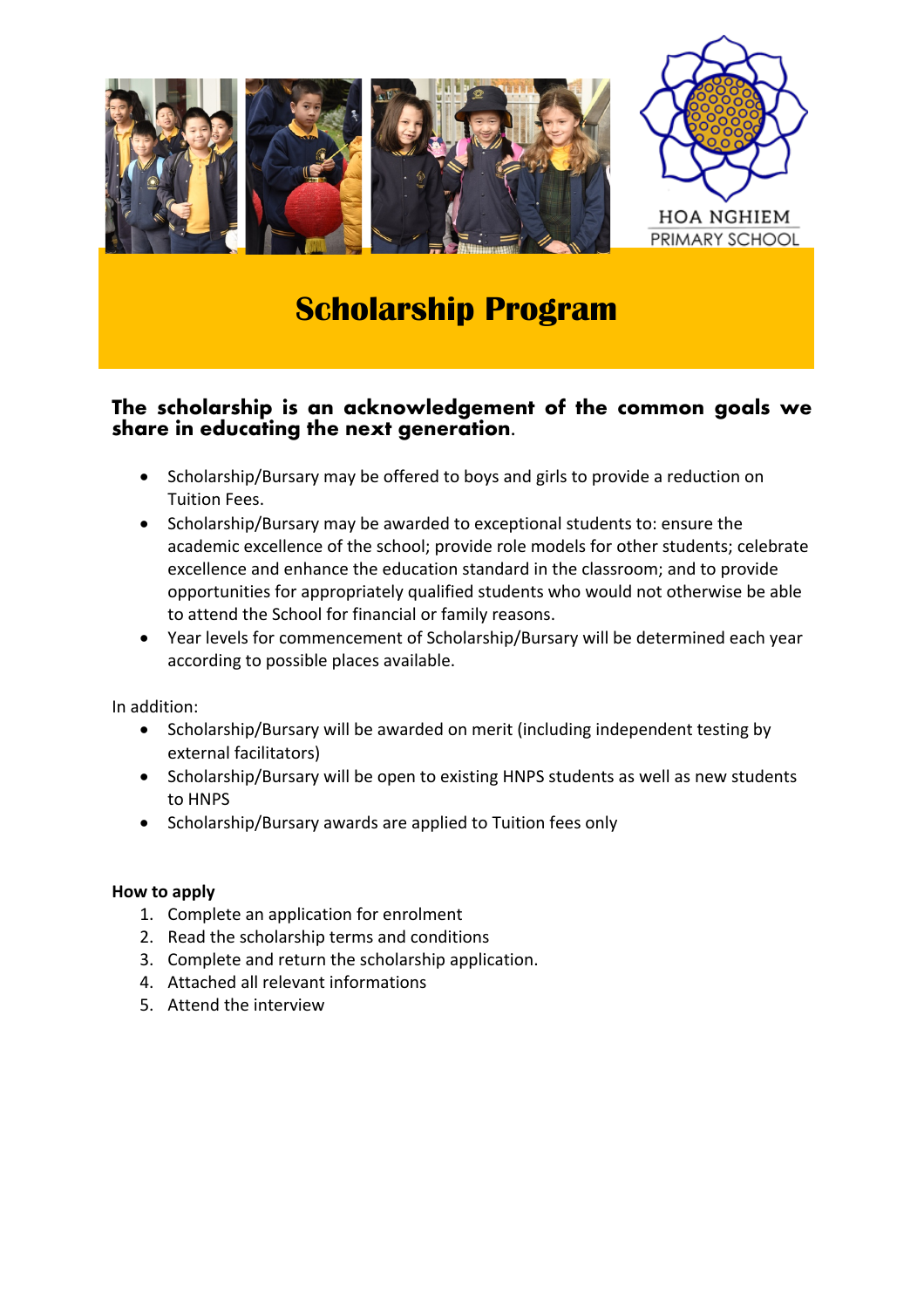

# **Scholarship Program**

# **The scholarship is an acknowledgement of the common goals we share in educating the next generation.**

- Scholarship/Bursary may be offered to boys and girls to provide a reduction on Tuition Fees.
- Scholarship/Bursary may be awarded to exceptional students to: ensure the academic excellence of the school; provide role models for other students; celebrate excellence and enhance the education standard in the classroom; and to provide opportunities for appropriately qualified students who would not otherwise be able to attend the School for financial or family reasons.
- Year levels for commencement of Scholarship/Bursary will be determined each year according to possible places available.

In addition:

- Scholarship/Bursary will be awarded on merit (including independent testing by external facilitators)
- Scholarship/Bursary will be open to existing HNPS students as well as new students to HNPS
- Scholarship/Bursary awards are applied to Tuition fees only

#### **How to apply**

- 1. Complete an application for enrolment
- 2. Read the scholarship terms and conditions
- 3. Complete and return the scholarship application.
- 4. Attached all relevant informations
- 5. Attend the interview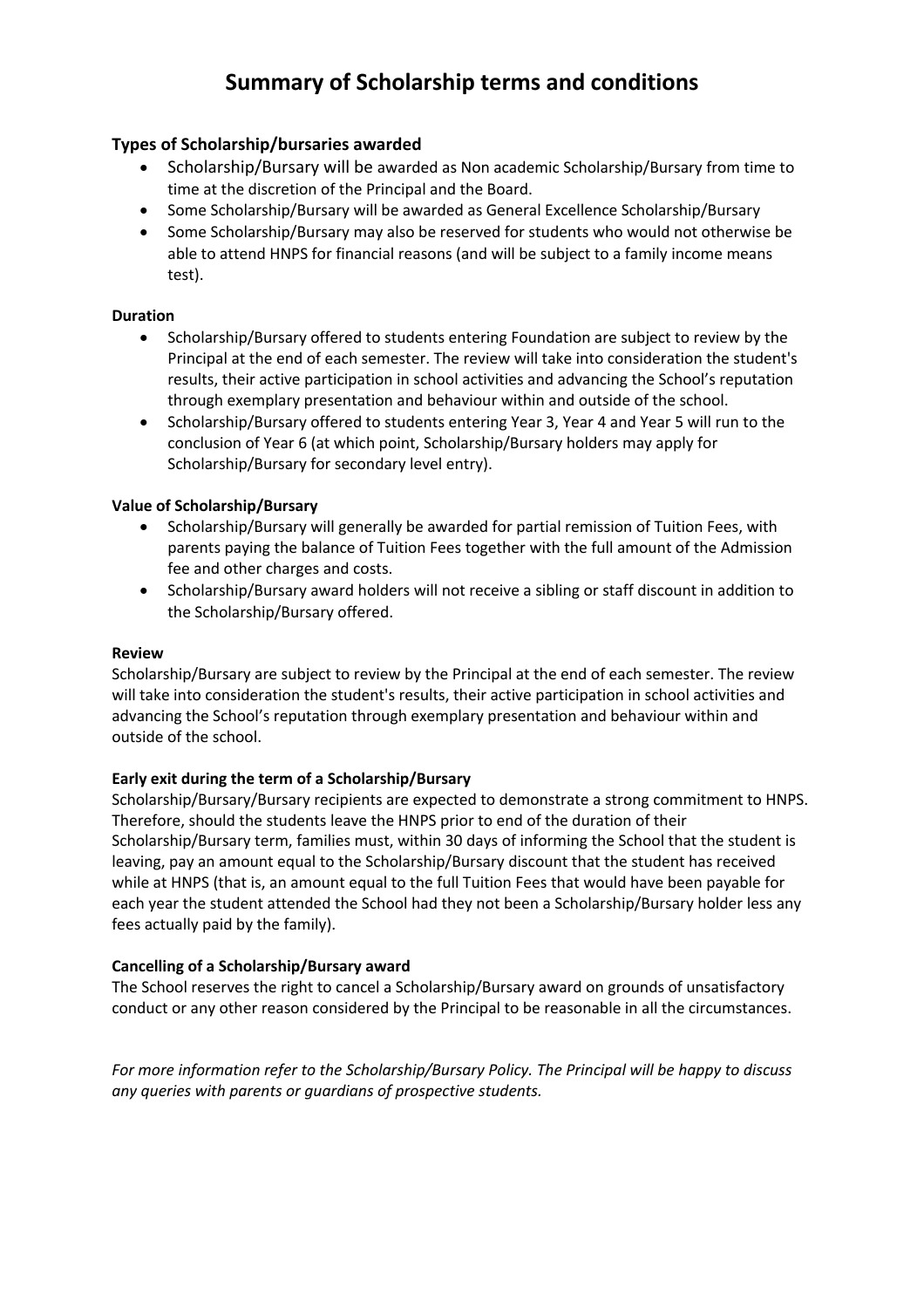# **Summary of Scholarship terms and conditions**

#### **Types of Scholarship/bursaries awarded**

- Scholarship/Bursary will be awarded as Non academic Scholarship/Bursary from time to time at the discretion of the Principal and the Board.
- Some Scholarship/Bursary will be awarded as General Excellence Scholarship/Bursary
- Some Scholarship/Bursary may also be reserved for students who would not otherwise be able to attend HNPS for financial reasons (and will be subject to a family income means test).

#### **Duration**

- Scholarship/Bursary offered to students entering Foundation are subject to review by the Principal at the end of each semester. The review will take into consideration the student's results, their active participation in school activities and advancing the School's reputation through exemplary presentation and behaviour within and outside of the school.
- Scholarship/Bursary offered to students entering Year 3, Year 4 and Year 5 will run to the conclusion of Year 6 (at which point, Scholarship/Bursary holders may apply for Scholarship/Bursary for secondary level entry).

#### **Value of Scholarship/Bursary**

- Scholarship/Bursary will generally be awarded for partial remission of Tuition Fees, with parents paying the balance of Tuition Fees together with the full amount of the Admission fee and other charges and costs.
- Scholarship/Bursary award holders will not receive a sibling or staff discount in addition to the Scholarship/Bursary offered.

#### **Review**

Scholarship/Bursary are subject to review by the Principal at the end of each semester. The review will take into consideration the student's results, their active participation in school activities and advancing the School's reputation through exemplary presentation and behaviour within and outside of the school.

#### **Early exit during the term of a Scholarship/Bursary**

Scholarship/Bursary/Bursary recipients are expected to demonstrate a strong commitment to HNPS. Therefore, should the students leave the HNPS prior to end of the duration of their Scholarship/Bursary term, families must, within 30 days of informing the School that the student is leaving, pay an amount equal to the Scholarship/Bursary discount that the student has received while at HNPS (that is, an amount equal to the full Tuition Fees that would have been payable for each year the student attended the School had they not been a Scholarship/Bursary holder less any fees actually paid by the family).

#### **Cancelling of a Scholarship/Bursary award**

The School reserves the right to cancel a Scholarship/Bursary award on grounds of unsatisfactory conduct or any other reason considered by the Principal to be reasonable in all the circumstances.

*For more information refer to the Scholarship/Bursary Policy. The Principal will be happy to discuss any queries with parents or guardians of prospective students.*